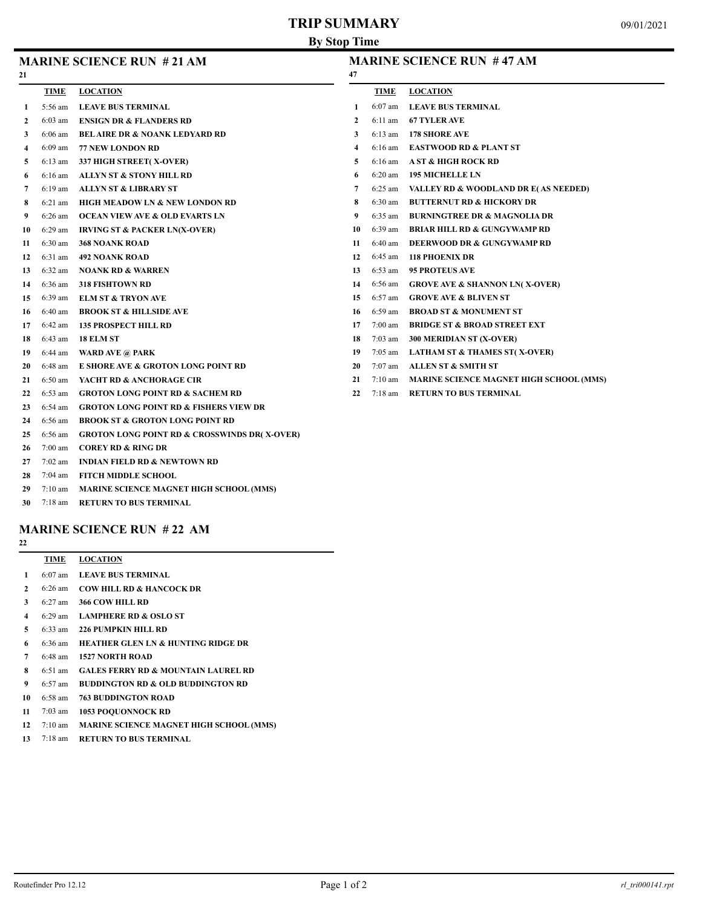# **TRIP SUMMARY**

| <b>MARINE SCIENCE RUN # 21 AM</b> |  |
|-----------------------------------|--|
|                                   |  |

#### **MARINE SCIENCE RUN # 47 AM**

| 21           |                   |                                                         | 47             |             |                                                |
|--------------|-------------------|---------------------------------------------------------|----------------|-------------|------------------------------------------------|
|              | <b>TIME</b>       | <b>LOCATION</b>                                         |                | <b>TIME</b> | <b>LOCATION</b>                                |
| 1            | 5:56 am           | <b>LEAVE BUS TERMINAL</b>                               | 1              | $6:07$ am   | <b>LEAVE BUS TERMINAL</b>                      |
| $\mathbf{2}$ | 6:03 am           | <b>ENSIGN DR &amp; FLANDERS RD</b>                      | $\mathbf{2}$   | 6:11 am     | <b>67 TYLER AVE</b>                            |
| 3            | $6:06$ am         | <b>BELAIRE DR &amp; NOANK LEDYARD RD</b>                | 3              | 6:13 am     | <b>178 SHORE AVE</b>                           |
| 4            | $6:09$ am         | <b>77 NEW LONDON RD</b>                                 | $\overline{4}$ | $6:16$ am   | <b>EASTWOOD RD &amp; PLANT ST</b>              |
| 5            | $6:13$ am         | 337 HIGH STREET(X-OVER)                                 | 5              | $6:16$ am   | <b>A ST &amp; HIGH ROCK RD</b>                 |
| 6            | $6:16$ am         | ALLYN ST & STONY HILL RD                                | 6              | $6:20$ am   | <b>195 MICHELLE LN</b>                         |
| 7            | $6:19$ am         | <b>ALLYN ST &amp; LIBRARY ST</b>                        | 7              | 6:25 am     | VALLEY RD & WOODLAND DR E(AS NEEDED)           |
| 8            | $6:21$ am         | <b>HIGH MEADOW LN &amp; NEW LONDON RD</b>               | 8              | $6:30$ am   | <b>BUTTERNUT RD &amp; HICKORY DR</b>           |
| 9            | $6:26$ am         | <b>OCEAN VIEW AVE &amp; OLD EVARTS LN</b>               | 9              | $6:35$ am   | <b>BURNINGTREE DR &amp; MAGNOLIA DR</b>        |
| 10           | $6:29$ am         | <b>IRVING ST &amp; PACKER LN(X-OVER)</b>                | 10             | $6:39$ am   | <b>BRIAR HILL RD &amp; GUNGYWAMP RD</b>        |
| 11           | $6:30$ am         | <b>368 NOANK ROAD</b>                                   | 11             | $6:40$ am   | <b>DEERWOOD DR &amp; GUNGYWAMP RD</b>          |
| 12           | 6:31 am           | <b>492 NOANK ROAD</b>                                   | 12             | $6:45$ am   | <b>118 PHOENIX DR</b>                          |
| 13           | $6:32$ am         | <b>NOANK RD &amp; WARREN</b>                            | 13             | $6:53$ am   | <b>95 PROTEUS AVE</b>                          |
| 14           | 6:36 am           | <b>318 FISHTOWN RD</b>                                  | 14             | 6:56 am     | <b>GROVE AVE &amp; SHANNON LN(X-OVER)</b>      |
| 15           | 6:39 am           | <b>ELM ST &amp; TRYON AVE</b>                           | 15             | 6:57 am     | <b>GROVE AVE &amp; BLIVEN ST</b>               |
| 16           | $6:40$ am         | <b>BROOK ST &amp; HILLSIDE AVE</b>                      | 16             | 6:59 am     | <b>BROAD ST &amp; MONUMENT ST</b>              |
| 17           | $6:42$ am         | <b>135 PROSPECT HILL RD</b>                             | 17             | $7:00$ am   | <b>BRIDGE ST &amp; BROAD STREET EXT</b>        |
| 18           | $6:43$ am         | 18 ELM ST                                               | 18             | 7:03 am     | 300 MERIDIAN ST (X-OVER)                       |
| 19           | 6:44 am           | <b>WARD AVE @ PARK</b>                                  | 19             | $7:05$ am   | <b>LATHAM ST &amp; THAMES ST(X-OVER)</b>       |
| 20           | $6:48$ am         | E SHORE AVE & GROTON LONG POINT RD                      | 20             | 7:07 am     | <b>ALLEN ST &amp; SMITH ST</b>                 |
| 21           | 6:50 am           | YACHT RD & ANCHORAGE CIR                                | 21             | $7:10$ am   | <b>MARINE SCIENCE MAGNET HIGH SCHOOL (MMS)</b> |
| 22           | $6:53$ am         | <b>GROTON LONG POINT RD &amp; SACHEM RD</b>             | 22             | $7:18$ am   | <b>RETURN TO BUS TERMINAL</b>                  |
| 23           | $6:54$ am         | <b>GROTON LONG POINT RD &amp; FISHERS VIEW DR</b>       |                |             |                                                |
| 24           | 6:56 am           | <b>BROOK ST &amp; GROTON LONG POINT RD</b>              |                |             |                                                |
| 25           | 6:56 am           | <b>GROTON LONG POINT RD &amp; CROSSWINDS DR(X-OVER)</b> |                |             |                                                |
| 26           | $7:00$ am         | <b>COREY RD &amp; RING DR</b>                           |                |             |                                                |
| 27           | $7:02 \text{ am}$ | <b>INDIAN FIELD RD &amp; NEWTOWN RD</b>                 |                |             |                                                |

- 7:04 am **FITCH MIDDLE SCHOOL**
- 7:10 am **MARINE SCIENCE MAGNET HIGH SCHOOL (MMS)**
- 7:18 am **RETURN TO BUS TERMINAL**

#### **MARINE SCIENCE RUN # 22 AM**

|    | TIME              | <b>LOCATION</b>                                |
|----|-------------------|------------------------------------------------|
| 1  | $6:07$ am         | <b>LEAVE BUS TERMINAL</b>                      |
| 2  | $6:26$ am         | <b>COW HILL RD &amp; HANCOCK DR</b>            |
| 3  | $6:27$ am         | <b>366 COW HILL RD</b>                         |
| 4  |                   | 6:29 am LAMPHERE RD & OSLO ST                  |
| 5  | $6:33$ am         | 226 PUMPKIN HILL RD                            |
| 6  | $6:36 \text{ am}$ | <b>HEATHER GLEN LN &amp; HUNTING RIDGE DR</b>  |
| 7  | $6:48$ am         | <b>1527 NORTH ROAD</b>                         |
| 8  | $6:51$ am         | <b>GALES FERRY RD &amp; MOUNTAIN LAUREL RD</b> |
| 9  | $6:57$ am         | <b>BUDDINGTON RD &amp; OLD BUDDINGTON RD</b>   |
| 10 | $6:58$ am         | <b>763 BUDDINGTON ROAD</b>                     |
| 11 | $7:03$ am         | <b>1053 POOUONNOCK RD</b>                      |
| 12 | $7:10 \text{ am}$ | <b>MARINE SCIENCE MAGNET HIGH SCHOOL (MMS)</b> |

7:18 am **RETURN TO BUS TERMINAL**